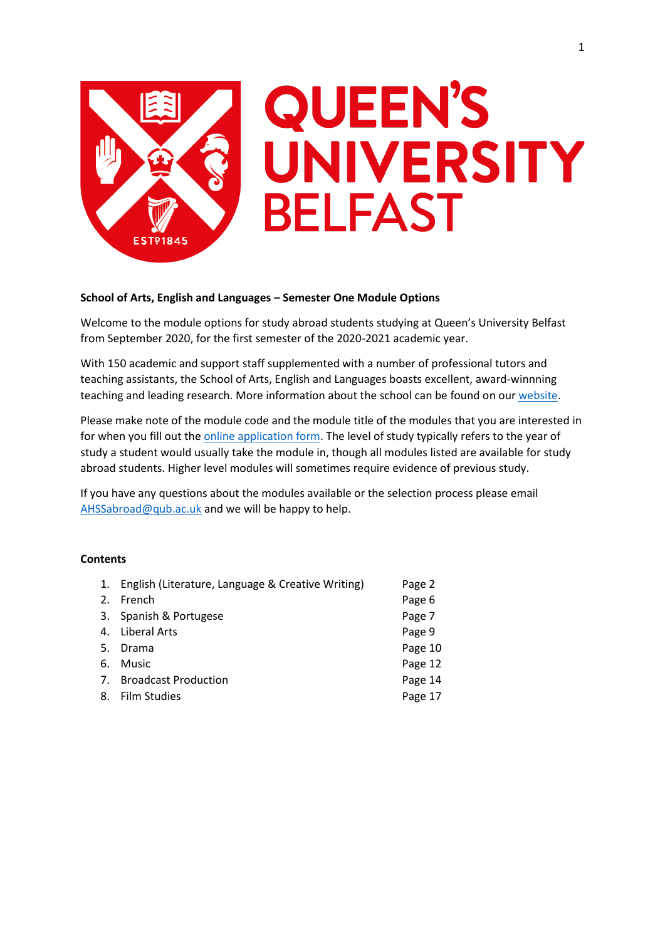

# **School of Arts, English and Languages – Semester One Module Options**

Welcome to the module options for study abroad students studying at Queen's University Belfast from September 2020, for the first semester of the 2020-2021 academic year.

With 150 academic and support staff supplemented with a number of professional tutors and teaching assistants, the School of Arts, English and Languages boasts excellent, award-winnning teaching and leading research. More information about the school can be found on our [website.](https://www.qub.ac.uk/schools/ael/)

Please make note of the module code and the module title of the modules that you are interested in for when you fill out th[e online application form.](https://forms.office.com/Pages/ResponsePage.aspx?id=6ner6qW040mh6NbdI6HyhuNo6y7MZmlFqRFBsQuklldUMk9NNlVPQUxQSFpJQ0I4VzFVNVhFMzNQRyQlQCN0PWcu) The level of study typically refers to the year of study a student would usually take the module in, though all modules listed are available for study abroad students. Higher level modules will sometimes require evidence of previous study.

If you have any questions about the modules available or the selection process please email [AHSSabroad@qub.ac.uk](mailto:AHSSabroad@qub.ac.uk) and we will be happy to help.

# **Contents**

| 1. English (Literature, Language & Creative Writing) | Page 2  |
|------------------------------------------------------|---------|
| 2. French                                            | Page 6  |
| 3. Spanish & Portugese                               | Page 7  |
| 4. Liberal Arts                                      | Page 9  |
| 5. Drama                                             | Page 10 |
| 6. Music                                             | Page 12 |
| 7. Broadcast Production                              | Page 14 |
| 8. Film Studies                                      | Page 17 |
|                                                      |         |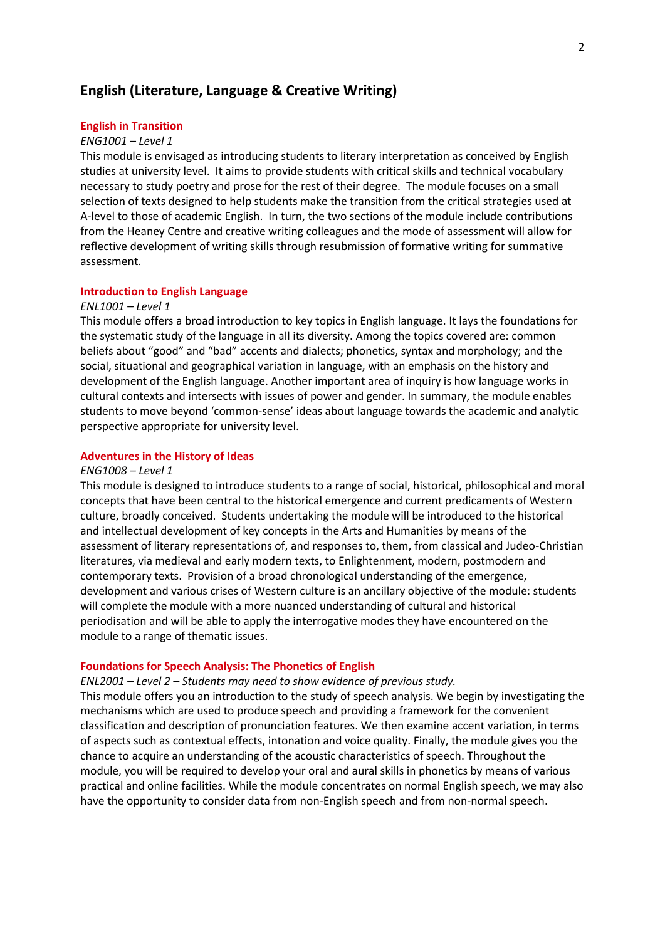# **English (Literature, Language & Creative Writing)**

## **English in Transition**

## *ENG1001 – Level 1*

This module is envisaged as introducing students to literary interpretation as conceived by English studies at university level. It aims to provide students with critical skills and technical vocabulary necessary to study poetry and prose for the rest of their degree. The module focuses on a small selection of texts designed to help students make the transition from the critical strategies used at A-level to those of academic English. In turn, the two sections of the module include contributions from the Heaney Centre and creative writing colleagues and the mode of assessment will allow for reflective development of writing skills through resubmission of formative writing for summative assessment.

## **Introduction to English Language**

### *ENL1001 – Level 1*

This module offers a broad introduction to key topics in English language. It lays the foundations for the systematic study of the language in all its diversity. Among the topics covered are: common beliefs about "good" and "bad" accents and dialects; phonetics, syntax and morphology; and the social, situational and geographical variation in language, with an emphasis on the history and development of the English language. Another important area of inquiry is how language works in cultural contexts and intersects with issues of power and gender. In summary, the module enables students to move beyond 'common-sense' ideas about language towards the academic and analytic perspective appropriate for university level.

## **Adventures in the History of Ideas**

## *ENG1008 – Level 1*

This module is designed to introduce students to a range of social, historical, philosophical and moral concepts that have been central to the historical emergence and current predicaments of Western culture, broadly conceived. Students undertaking the module will be introduced to the historical and intellectual development of key concepts in the Arts and Humanities by means of the assessment of literary representations of, and responses to, them, from classical and Judeo-Christian literatures, via medieval and early modern texts, to Enlightenment, modern, postmodern and contemporary texts. Provision of a broad chronological understanding of the emergence, development and various crises of Western culture is an ancillary objective of the module: students will complete the module with a more nuanced understanding of cultural and historical periodisation and will be able to apply the interrogative modes they have encountered on the module to a range of thematic issues.

## **Foundations for Speech Analysis: The Phonetics of English**

*ENL2001 – Level 2 – Students may need to show evidence of previous study.*

This module offers you an introduction to the study of speech analysis. We begin by investigating the mechanisms which are used to produce speech and providing a framework for the convenient classification and description of pronunciation features. We then examine accent variation, in terms of aspects such as contextual effects, intonation and voice quality. Finally, the module gives you the chance to acquire an understanding of the acoustic characteristics of speech. Throughout the module, you will be required to develop your oral and aural skills in phonetics by means of various practical and online facilities. While the module concentrates on normal English speech, we may also have the opportunity to consider data from non-English speech and from non-normal speech.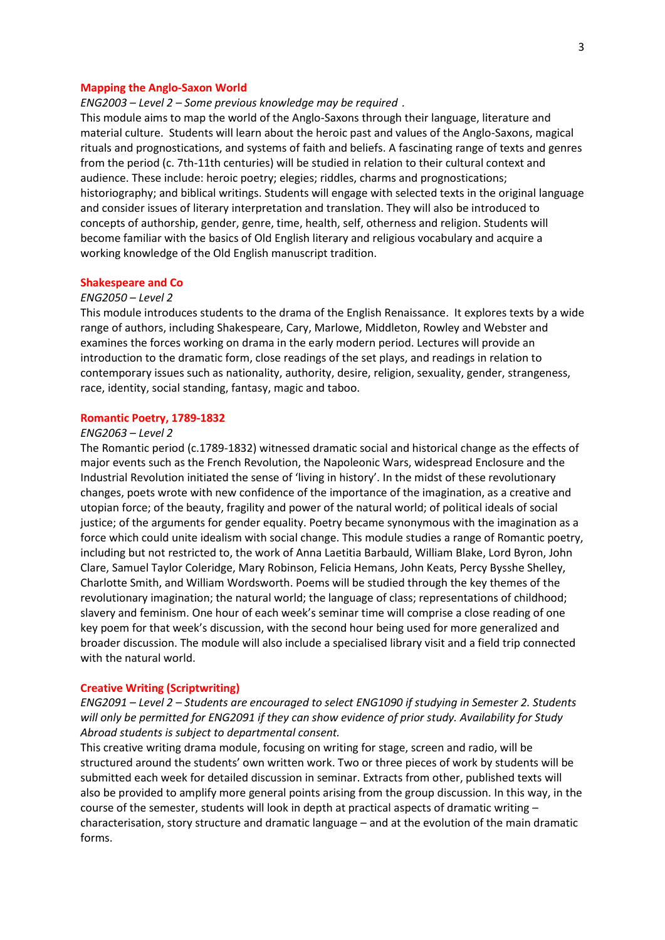### **Mapping the Anglo-Saxon World**

*ENG2003 – Level 2 – Some previous knowledge may be required .*

This module aims to map the world of the Anglo-Saxons through their language, literature and material culture. Students will learn about the heroic past and values of the Anglo-Saxons, magical rituals and prognostications, and systems of faith and beliefs. A fascinating range of texts and genres from the period (c. 7th-11th centuries) will be studied in relation to their cultural context and audience. These include: heroic poetry; elegies; riddles, charms and prognostications; historiography; and biblical writings. Students will engage with selected texts in the original language and consider issues of literary interpretation and translation. They will also be introduced to concepts of authorship, gender, genre, time, health, self, otherness and religion. Students will become familiar with the basics of Old English literary and religious vocabulary and acquire a working knowledge of the Old English manuscript tradition.

## **Shakespeare and Co**

## *ENG2050 – Level 2*

This module introduces students to the drama of the English Renaissance. It explores texts by a wide range of authors, including Shakespeare, Cary, Marlowe, Middleton, Rowley and Webster and examines the forces working on drama in the early modern period. Lectures will provide an introduction to the dramatic form, close readings of the set plays, and readings in relation to contemporary issues such as nationality, authority, desire, religion, sexuality, gender, strangeness, race, identity, social standing, fantasy, magic and taboo.

## **Romantic Poetry, 1789-1832**

## *ENG2063 – Level 2*

The Romantic period (c.1789-1832) witnessed dramatic social and historical change as the effects of major events such as the French Revolution, the Napoleonic Wars, widespread Enclosure and the Industrial Revolution initiated the sense of 'living in history'. In the midst of these revolutionary changes, poets wrote with new confidence of the importance of the imagination, as a creative and utopian force; of the beauty, fragility and power of the natural world; of political ideals of social justice; of the arguments for gender equality. Poetry became synonymous with the imagination as a force which could unite idealism with social change. This module studies a range of Romantic poetry, including but not restricted to, the work of Anna Laetitia Barbauld, William Blake, Lord Byron, John Clare, Samuel Taylor Coleridge, Mary Robinson, Felicia Hemans, John Keats, Percy Bysshe Shelley, Charlotte Smith, and William Wordsworth. Poems will be studied through the key themes of the revolutionary imagination; the natural world; the language of class; representations of childhood; slavery and feminism. One hour of each week's seminar time will comprise a close reading of one key poem for that week's discussion, with the second hour being used for more generalized and broader discussion. The module will also include a specialised library visit and a field trip connected with the natural world.

### **Creative Writing (Scriptwriting)**

*ENG2091 – Level 2 – Students are encouraged to select ENG1090 if studying in Semester 2. Students will only be permitted for ENG2091 if they can show evidence of prior study. Availability for Study Abroad students is subject to departmental consent.*

This creative writing drama module, focusing on writing for stage, screen and radio, will be structured around the students' own written work. Two or three pieces of work by students will be submitted each week for detailed discussion in seminar. Extracts from other, published texts will also be provided to amplify more general points arising from the group discussion. In this way, in the course of the semester, students will look in depth at practical aspects of dramatic writing – characterisation, story structure and dramatic language – and at the evolution of the main dramatic forms.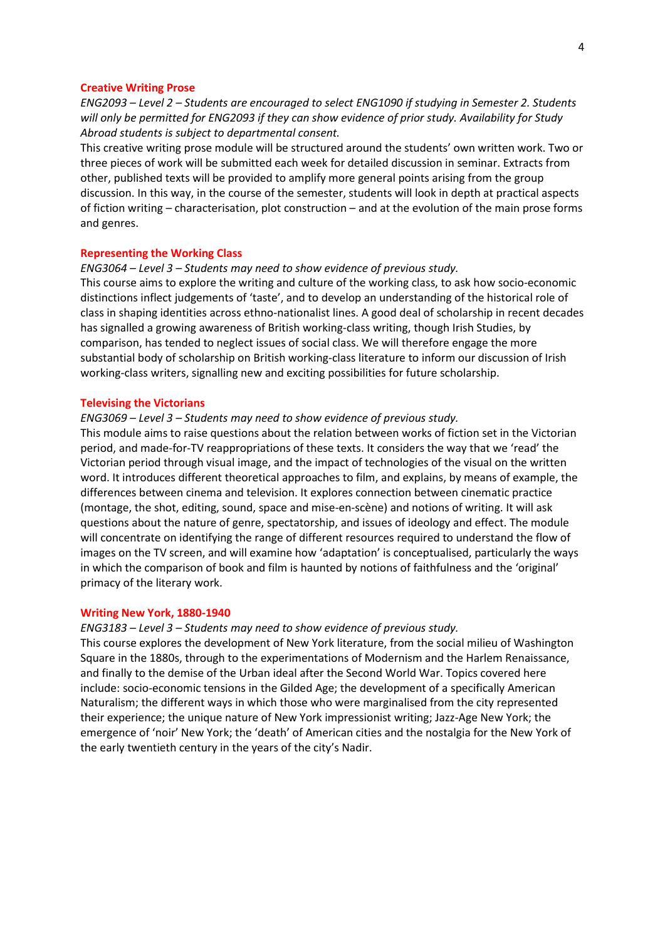#### **Creative Writing Prose**

*ENG2093 – Level 2 – Students are encouraged to select ENG1090 if studying in Semester 2. Students will only be permitted for ENG2093 if they can show evidence of prior study. Availability for Study Abroad students is subject to departmental consent.*

This creative writing prose module will be structured around the students' own written work. Two or three pieces of work will be submitted each week for detailed discussion in seminar. Extracts from other, published texts will be provided to amplify more general points arising from the group discussion. In this way, in the course of the semester, students will look in depth at practical aspects of fiction writing – characterisation, plot construction – and at the evolution of the main prose forms and genres.

### **Representing the Working Class**

# *ENG3064 – Level 3 – Students may need to show evidence of previous study.*

This course aims to explore the writing and culture of the working class, to ask how socio-economic distinctions inflect judgements of 'taste', and to develop an understanding of the historical role of class in shaping identities across ethno-nationalist lines. A good deal of scholarship in recent decades has signalled a growing awareness of British working-class writing, though Irish Studies, by comparison, has tended to neglect issues of social class. We will therefore engage the more substantial body of scholarship on British working-class literature to inform our discussion of Irish working-class writers, signalling new and exciting possibilities for future scholarship.

#### **Televising the Victorians**

### *ENG3069 – Level 3 – Students may need to show evidence of previous study.*

This module aims to raise questions about the relation between works of fiction set in the Victorian period, and made-for-TV reappropriations of these texts. It considers the way that we 'read' the Victorian period through visual image, and the impact of technologies of the visual on the written word. It introduces different theoretical approaches to film, and explains, by means of example, the differences between cinema and television. It explores connection between cinematic practice (montage, the shot, editing, sound, space and mise-en-scène) and notions of writing. It will ask questions about the nature of genre, spectatorship, and issues of ideology and effect. The module will concentrate on identifying the range of different resources required to understand the flow of images on the TV screen, and will examine how 'adaptation' is conceptualised, particularly the ways in which the comparison of book and film is haunted by notions of faithfulness and the 'original' primacy of the literary work.

### **Writing New York, 1880-1940**

## *ENG3183 – Level 3 – Students may need to show evidence of previous study.*

This course explores the development of New York literature, from the social milieu of Washington Square in the 1880s, through to the experimentations of Modernism and the Harlem Renaissance, and finally to the demise of the Urban ideal after the Second World War. Topics covered here include: socio-economic tensions in the Gilded Age; the development of a specifically American Naturalism; the different ways in which those who were marginalised from the city represented their experience; the unique nature of New York impressionist writing; Jazz-Age New York; the emergence of 'noir' New York; the 'death' of American cities and the nostalgia for the New York of the early twentieth century in the years of the city's Nadir.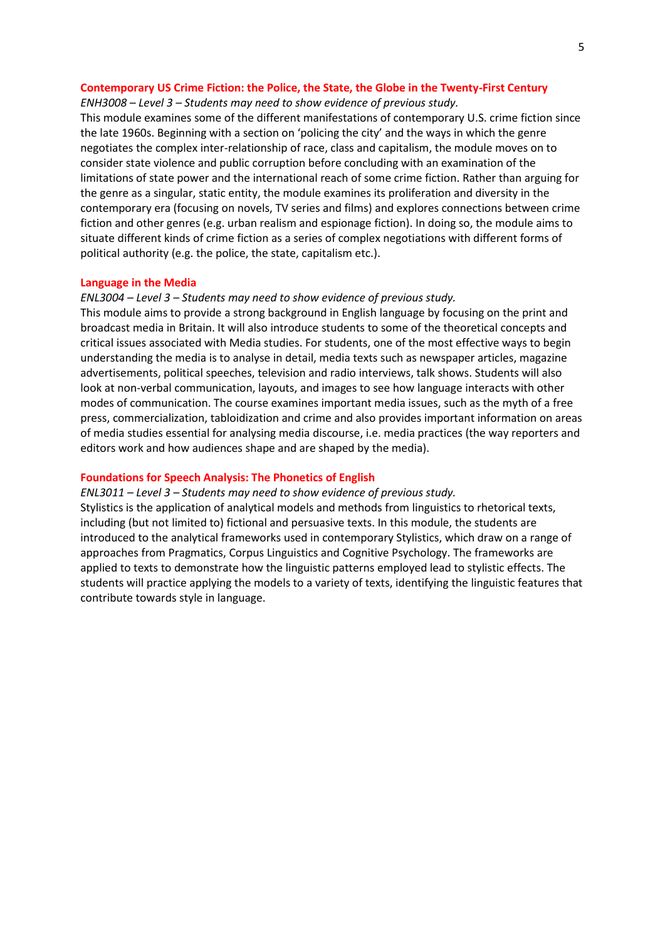## **Contemporary US Crime Fiction: the Police, the State, the Globe in the Twenty-First Century**

## *ENH3008 – Level 3 – Students may need to show evidence of previous study.*

This module examines some of the different manifestations of contemporary U.S. crime fiction since the late 1960s. Beginning with a section on 'policing the city' and the ways in which the genre negotiates the complex inter-relationship of race, class and capitalism, the module moves on to consider state violence and public corruption before concluding with an examination of the limitations of state power and the international reach of some crime fiction. Rather than arguing for the genre as a singular, static entity, the module examines its proliferation and diversity in the contemporary era (focusing on novels, TV series and films) and explores connections between crime fiction and other genres (e.g. urban realism and espionage fiction). In doing so, the module aims to situate different kinds of crime fiction as a series of complex negotiations with different forms of political authority (e.g. the police, the state, capitalism etc.).

### **Language in the Media**

## *ENL3004 – Level 3 – Students may need to show evidence of previous study.*

This module aims to provide a strong background in English language by focusing on the print and broadcast media in Britain. It will also introduce students to some of the theoretical concepts and critical issues associated with Media studies. For students, one of the most effective ways to begin understanding the media is to analyse in detail, media texts such as newspaper articles, magazine advertisements, political speeches, television and radio interviews, talk shows. Students will also look at non-verbal communication, layouts, and images to see how language interacts with other modes of communication. The course examines important media issues, such as the myth of a free press, commercialization, tabloidization and crime and also provides important information on areas of media studies essential for analysing media discourse, i.e. media practices (the way reporters and editors work and how audiences shape and are shaped by the media).

### **Foundations for Speech Analysis: The Phonetics of English**

## *ENL3011 – Level 3 – Students may need to show evidence of previous study.*

Stylistics is the application of analytical models and methods from linguistics to rhetorical texts, including (but not limited to) fictional and persuasive texts. In this module, the students are introduced to the analytical frameworks used in contemporary Stylistics, which draw on a range of approaches from Pragmatics, Corpus Linguistics and Cognitive Psychology. The frameworks are applied to texts to demonstrate how the linguistic patterns employed lead to stylistic effects. The students will practice applying the models to a variety of texts, identifying the linguistic features that contribute towards style in language.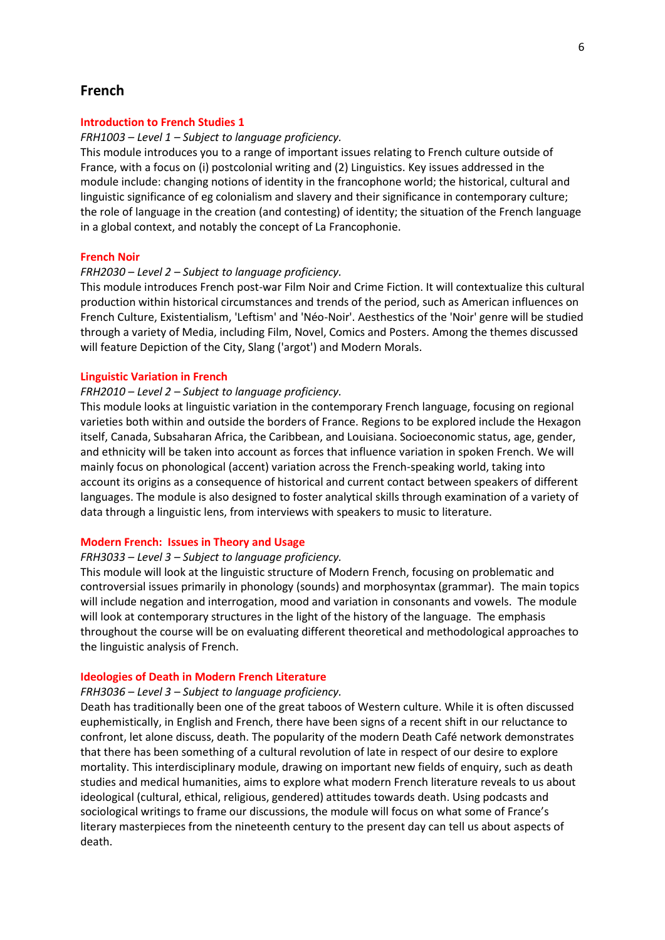# **French**

## **Introduction to French Studies 1**

### *FRH1003 – Level 1 – Subject to language proficiency.*

This module introduces you to a range of important issues relating to French culture outside of France, with a focus on (i) postcolonial writing and (2) Linguistics. Key issues addressed in the module include: changing notions of identity in the francophone world; the historical, cultural and linguistic significance of eg colonialism and slavery and their significance in contemporary culture; the role of language in the creation (and contesting) of identity; the situation of the French language in a global context, and notably the concept of La Francophonie.

### **French Noir**

## *FRH2030 – Level 2 – Subject to language proficiency.*

This module introduces French post-war Film Noir and Crime Fiction. It will contextualize this cultural production within historical circumstances and trends of the period, such as American influences on French Culture, Existentialism, 'Leftism' and 'Néo-Noir'. Aesthestics of the 'Noir' genre will be studied through a variety of Media, including Film, Novel, Comics and Posters. Among the themes discussed will feature Depiction of the City, Slang ('argot') and Modern Morals.

### **Linguistic Variation in French**

## *FRH2010 – Level 2 – Subject to language proficiency.*

This module looks at linguistic variation in the contemporary French language, focusing on regional varieties both within and outside the borders of France. Regions to be explored include the Hexagon itself, Canada, Subsaharan Africa, the Caribbean, and Louisiana. Socioeconomic status, age, gender, and ethnicity will be taken into account as forces that influence variation in spoken French. We will mainly focus on phonological (accent) variation across the French-speaking world, taking into account its origins as a consequence of historical and current contact between speakers of different languages. The module is also designed to foster analytical skills through examination of a variety of data through a linguistic lens, from interviews with speakers to music to literature.

## **Modern French: Issues in Theory and Usage**

### *FRH3033 – Level 3 – Subject to language proficiency.*

This module will look at the linguistic structure of Modern French, focusing on problematic and controversial issues primarily in phonology (sounds) and morphosyntax (grammar). The main topics will include negation and interrogation, mood and variation in consonants and vowels. The module will look at contemporary structures in the light of the history of the language. The emphasis throughout the course will be on evaluating different theoretical and methodological approaches to the linguistic analysis of French.

## **Ideologies of Death in Modern French Literature**

#### *FRH3036 – Level 3 – Subject to language proficiency.*

Death has traditionally been one of the great taboos of Western culture. While it is often discussed euphemistically, in English and French, there have been signs of a recent shift in our reluctance to confront, let alone discuss, death. The popularity of the modern Death Café network demonstrates that there has been something of a cultural revolution of late in respect of our desire to explore mortality. This interdisciplinary module, drawing on important new fields of enquiry, such as death studies and medical humanities, aims to explore what modern French literature reveals to us about ideological (cultural, ethical, religious, gendered) attitudes towards death. Using podcasts and sociological writings to frame our discussions, the module will focus on what some of France's literary masterpieces from the nineteenth century to the present day can tell us about aspects of death.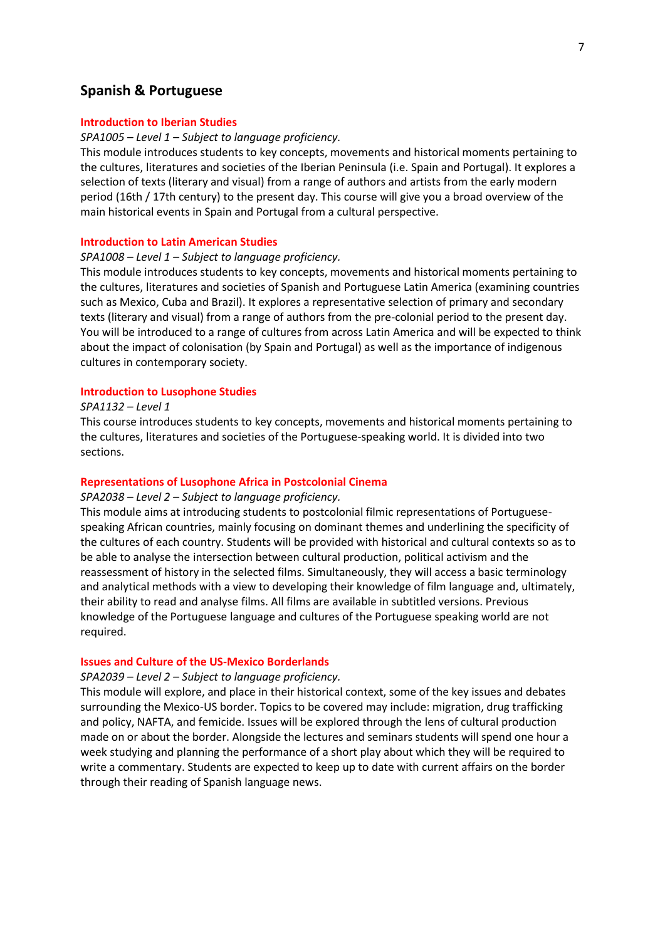# **Spanish & Portuguese**

## **Introduction to Iberian Studies**

#### *SPA1005 – Level 1 – Subject to language proficiency.*

This module introduces students to key concepts, movements and historical moments pertaining to the cultures, literatures and societies of the Iberian Peninsula (i.e. Spain and Portugal). It explores a selection of texts (literary and visual) from a range of authors and artists from the early modern period (16th / 17th century) to the present day. This course will give you a broad overview of the main historical events in Spain and Portugal from a cultural perspective.

## **Introduction to Latin American Studies**

### *SPA1008 – Level 1 – Subject to language proficiency.*

This module introduces students to key concepts, movements and historical moments pertaining to the cultures, literatures and societies of Spanish and Portuguese Latin America (examining countries such as Mexico, Cuba and Brazil). It explores a representative selection of primary and secondary texts (literary and visual) from a range of authors from the pre-colonial period to the present day. You will be introduced to a range of cultures from across Latin America and will be expected to think about the impact of colonisation (by Spain and Portugal) as well as the importance of indigenous cultures in contemporary society.

## **Introduction to Lusophone Studies**

## *SPA1132 – Level 1*

This course introduces students to key concepts, movements and historical moments pertaining to the cultures, literatures and societies of the Portuguese-speaking world. It is divided into two sections.

## **Representations of Lusophone Africa in Postcolonial Cinema**

## *SPA2038 – Level 2 – Subject to language proficiency.*

This module aims at introducing students to postcolonial filmic representations of Portuguesespeaking African countries, mainly focusing on dominant themes and underlining the specificity of the cultures of each country. Students will be provided with historical and cultural contexts so as to be able to analyse the intersection between cultural production, political activism and the reassessment of history in the selected films. Simultaneously, they will access a basic terminology and analytical methods with a view to developing their knowledge of film language and, ultimately, their ability to read and analyse films. All films are available in subtitled versions. Previous knowledge of the Portuguese language and cultures of the Portuguese speaking world are not required.

### **Issues and Culture of the US-Mexico Borderlands**

### *SPA2039 – Level 2 – Subject to language proficiency.*

This module will explore, and place in their historical context, some of the key issues and debates surrounding the Mexico-US border. Topics to be covered may include: migration, drug trafficking and policy, NAFTA, and femicide. Issues will be explored through the lens of cultural production made on or about the border. Alongside the lectures and seminars students will spend one hour a week studying and planning the performance of a short play about which they will be required to write a commentary. Students are expected to keep up to date with current affairs on the border through their reading of Spanish language news.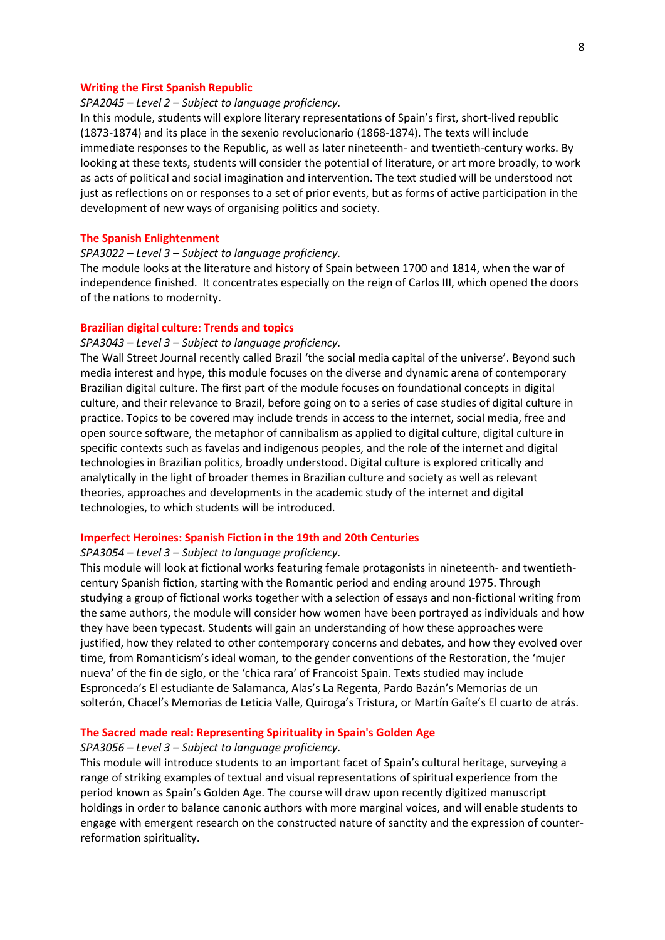### **Writing the First Spanish Republic**

## *SPA2045 – Level 2 – Subject to language proficiency.*

In this module, students will explore literary representations of Spain's first, short-lived republic (1873-1874) and its place in the sexenio revolucionario (1868-1874). The texts will include immediate responses to the Republic, as well as later nineteenth- and twentieth-century works. By looking at these texts, students will consider the potential of literature, or art more broadly, to work as acts of political and social imagination and intervention. The text studied will be understood not just as reflections on or responses to a set of prior events, but as forms of active participation in the development of new ways of organising politics and society.

## **The Spanish Enlightenment**

## *SPA3022 – Level 3 – Subject to language proficiency.*

The module looks at the literature and history of Spain between 1700 and 1814, when the war of independence finished. It concentrates especially on the reign of Carlos III, which opened the doors of the nations to modernity.

## **Brazilian digital culture: Trends and topics**

## *SPA3043 – Level 3 – Subject to language proficiency.*

The Wall Street Journal recently called Brazil 'the social media capital of the universe'. Beyond such media interest and hype, this module focuses on the diverse and dynamic arena of contemporary Brazilian digital culture. The first part of the module focuses on foundational concepts in digital culture, and their relevance to Brazil, before going on to a series of case studies of digital culture in practice. Topics to be covered may include trends in access to the internet, social media, free and open source software, the metaphor of cannibalism as applied to digital culture, digital culture in specific contexts such as favelas and indigenous peoples, and the role of the internet and digital technologies in Brazilian politics, broadly understood. Digital culture is explored critically and analytically in the light of broader themes in Brazilian culture and society as well as relevant theories, approaches and developments in the academic study of the internet and digital technologies, to which students will be introduced.

### **Imperfect Heroines: Spanish Fiction in the 19th and 20th Centuries**

### *SPA3054 – Level 3 – Subject to language proficiency.*

This module will look at fictional works featuring female protagonists in nineteenth- and twentiethcentury Spanish fiction, starting with the Romantic period and ending around 1975. Through studying a group of fictional works together with a selection of essays and non-fictional writing from the same authors, the module will consider how women have been portrayed as individuals and how they have been typecast. Students will gain an understanding of how these approaches were justified, how they related to other contemporary concerns and debates, and how they evolved over time, from Romanticism's ideal woman, to the gender conventions of the Restoration, the 'mujer nueva' of the fin de siglo, or the 'chica rara' of Francoist Spain. Texts studied may include Espronceda's El estudiante de Salamanca, Alas's La Regenta, Pardo Bazán's Memorias de un solterón, Chacel's Memorias de Leticia Valle, Quiroga's Tristura, or Martín Gaíte's El cuarto de atrás.

### **The Sacred made real: Representing Spirituality in Spain's Golden Age**

### *SPA3056 – Level 3 – Subject to language proficiency.*

This module will introduce students to an important facet of Spain's cultural heritage, surveying a range of striking examples of textual and visual representations of spiritual experience from the period known as Spain's Golden Age. The course will draw upon recently digitized manuscript holdings in order to balance canonic authors with more marginal voices, and will enable students to engage with emergent research on the constructed nature of sanctity and the expression of counterreformation spirituality.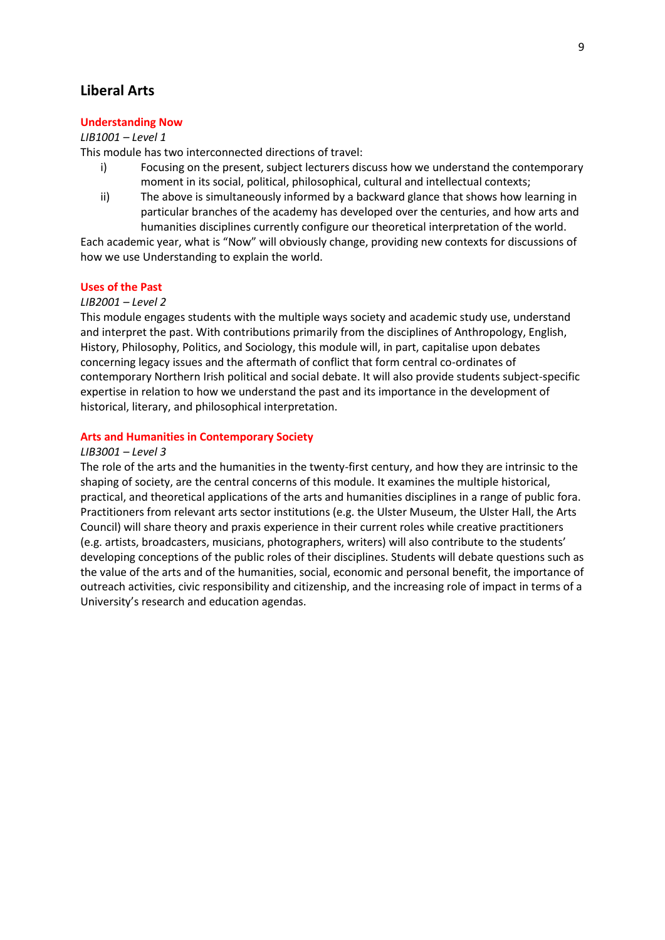# **Liberal Arts**

# **Understanding Now**

## *LIB1001 – Level 1*

This module has two interconnected directions of travel:

- i) Focusing on the present, subject lecturers discuss how we understand the contemporary moment in its social, political, philosophical, cultural and intellectual contexts;
- ii) The above is simultaneously informed by a backward glance that shows how learning in particular branches of the academy has developed over the centuries, and how arts and humanities disciplines currently configure our theoretical interpretation of the world.

Each academic year, what is "Now" will obviously change, providing new contexts for discussions of how we use Understanding to explain the world.

## **Uses of the Past**

## *LIB2001 – Level 2*

This module engages students with the multiple ways society and academic study use, understand and interpret the past. With contributions primarily from the disciplines of Anthropology, English, History, Philosophy, Politics, and Sociology, this module will, in part, capitalise upon debates concerning legacy issues and the aftermath of conflict that form central co-ordinates of contemporary Northern Irish political and social debate. It will also provide students subject-specific expertise in relation to how we understand the past and its importance in the development of historical, literary, and philosophical interpretation.

## **Arts and Humanities in Contemporary Society**

## *LIB3001 – Level 3*

The role of the arts and the humanities in the twenty-first century, and how they are intrinsic to the shaping of society, are the central concerns of this module. It examines the multiple historical, practical, and theoretical applications of the arts and humanities disciplines in a range of public fora. Practitioners from relevant arts sector institutions (e.g. the Ulster Museum, the Ulster Hall, the Arts Council) will share theory and praxis experience in their current roles while creative practitioners (e.g. artists, broadcasters, musicians, photographers, writers) will also contribute to the students' developing conceptions of the public roles of their disciplines. Students will debate questions such as the value of the arts and of the humanities, social, economic and personal benefit, the importance of outreach activities, civic responsibility and citizenship, and the increasing role of impact in terms of a University's research and education agendas.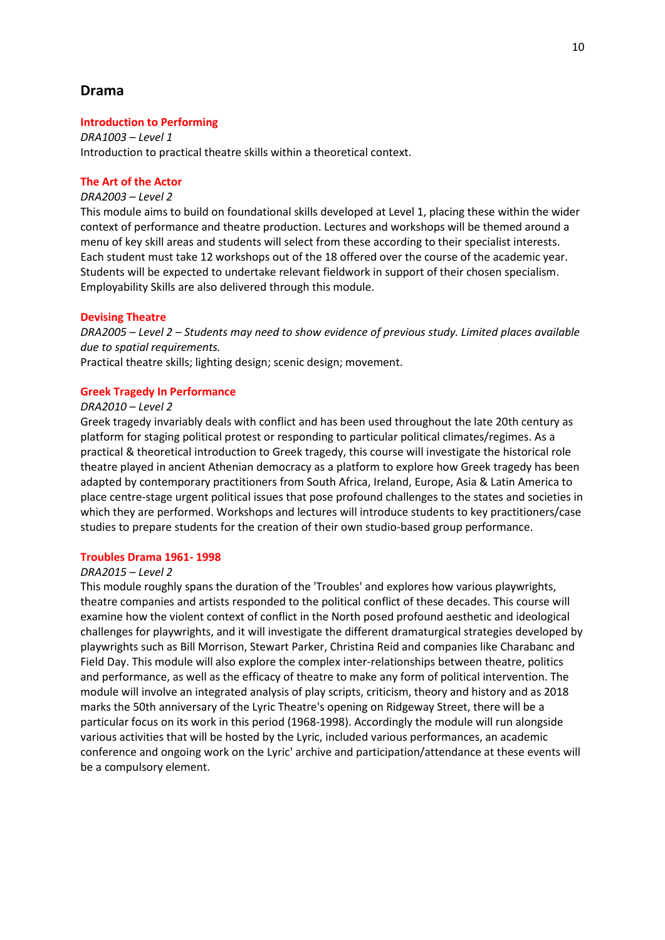# **Drama**

## **Introduction to Performing**

*DRA1003 – Level 1* Introduction to practical theatre skills within a theoretical context.

# **The Art of the Actor**

### *DRA2003 – Level 2*

This module aims to build on foundational skills developed at Level 1, placing these within the wider context of performance and theatre production. Lectures and workshops will be themed around a menu of key skill areas and students will select from these according to their specialist interests. Each student must take 12 workshops out of the 18 offered over the course of the academic year. Students will be expected to undertake relevant fieldwork in support of their chosen specialism. Employability Skills are also delivered through this module.

## **Devising Theatre**

*DRA2005 – Level 2 – Students may need to show evidence of previous study. Limited places available due to spatial requirements.*

Practical theatre skills; lighting design; scenic design; movement.

## **Greek Tragedy In Performance**

## *DRA2010 – Level 2*

Greek tragedy invariably deals with conflict and has been used throughout the late 20th century as platform for staging political protest or responding to particular political climates/regimes. As a practical & theoretical introduction to Greek tragedy, this course will investigate the historical role theatre played in ancient Athenian democracy as a platform to explore how Greek tragedy has been adapted by contemporary practitioners from South Africa, Ireland, Europe, Asia & Latin America to place centre-stage urgent political issues that pose profound challenges to the states and societies in which they are performed. Workshops and lectures will introduce students to key practitioners/case studies to prepare students for the creation of their own studio-based group performance.

# **Troubles Drama 1961- 1998**

## *DRA2015 – Level 2*

This module roughly spans the duration of the 'Troubles' and explores how various playwrights, theatre companies and artists responded to the political conflict of these decades. This course will examine how the violent context of conflict in the North posed profound aesthetic and ideological challenges for playwrights, and it will investigate the different dramaturgical strategies developed by playwrights such as Bill Morrison, Stewart Parker, Christina Reid and companies like Charabanc and Field Day. This module will also explore the complex inter-relationships between theatre, politics and performance, as well as the efficacy of theatre to make any form of political intervention. The module will involve an integrated analysis of play scripts, criticism, theory and history and as 2018 marks the 50th anniversary of the Lyric Theatre's opening on Ridgeway Street, there will be a particular focus on its work in this period (1968-1998). Accordingly the module will run alongside various activities that will be hosted by the Lyric, included various performances, an academic conference and ongoing work on the Lyric' archive and participation/attendance at these events will be a compulsory element.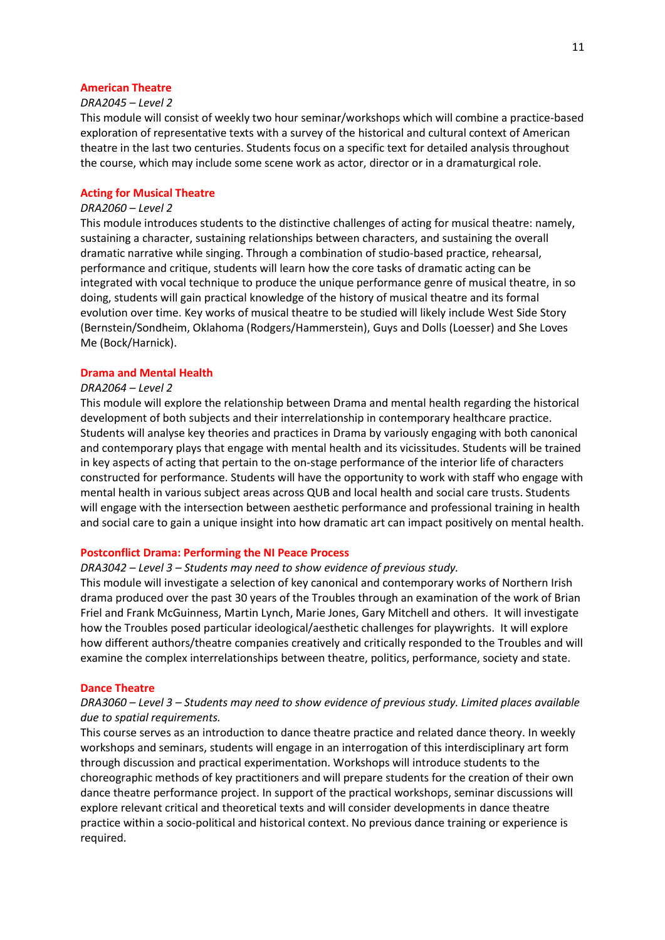### **American Theatre**

## *DRA2045 – Level 2*

This module will consist of weekly two hour seminar/workshops which will combine a practice-based exploration of representative texts with a survey of the historical and cultural context of American theatre in the last two centuries. Students focus on a specific text for detailed analysis throughout the course, which may include some scene work as actor, director or in a dramaturgical role.

### **Acting for Musical Theatre**

## *DRA2060 – Level 2*

This module introduces students to the distinctive challenges of acting for musical theatre: namely, sustaining a character, sustaining relationships between characters, and sustaining the overall dramatic narrative while singing. Through a combination of studio-based practice, rehearsal, performance and critique, students will learn how the core tasks of dramatic acting can be integrated with vocal technique to produce the unique performance genre of musical theatre, in so doing, students will gain practical knowledge of the history of musical theatre and its formal evolution over time. Key works of musical theatre to be studied will likely include West Side Story (Bernstein/Sondheim, Oklahoma (Rodgers/Hammerstein), Guys and Dolls (Loesser) and She Loves Me (Bock/Harnick).

## **Drama and Mental Health**

# *DRA2064 – Level 2*

This module will explore the relationship between Drama and mental health regarding the historical development of both subjects and their interrelationship in contemporary healthcare practice. Students will analyse key theories and practices in Drama by variously engaging with both canonical and contemporary plays that engage with mental health and its vicissitudes. Students will be trained in key aspects of acting that pertain to the on-stage performance of the interior life of characters constructed for performance. Students will have the opportunity to work with staff who engage with mental health in various subject areas across QUB and local health and social care trusts. Students will engage with the intersection between aesthetic performance and professional training in health and social care to gain a unique insight into how dramatic art can impact positively on mental health.

### **Postconflict Drama: Performing the NI Peace Process**

## *DRA3042 – Level 3 – Students may need to show evidence of previous study.*

This module will investigate a selection of key canonical and contemporary works of Northern Irish drama produced over the past 30 years of the Troubles through an examination of the work of Brian Friel and Frank McGuinness, Martin Lynch, Marie Jones, Gary Mitchell and others. It will investigate how the Troubles posed particular ideological/aesthetic challenges for playwrights. It will explore how different authors/theatre companies creatively and critically responded to the Troubles and will examine the complex interrelationships between theatre, politics, performance, society and state.

## **Dance Theatre**

# *DRA3060 – Level 3 – Students may need to show evidence of previous study. Limited places available due to spatial requirements.*

This course serves as an introduction to dance theatre practice and related dance theory. In weekly workshops and seminars, students will engage in an interrogation of this interdisciplinary art form through discussion and practical experimentation. Workshops will introduce students to the choreographic methods of key practitioners and will prepare students for the creation of their own dance theatre performance project. In support of the practical workshops, seminar discussions will explore relevant critical and theoretical texts and will consider developments in dance theatre practice within a socio-political and historical context. No previous dance training or experience is required.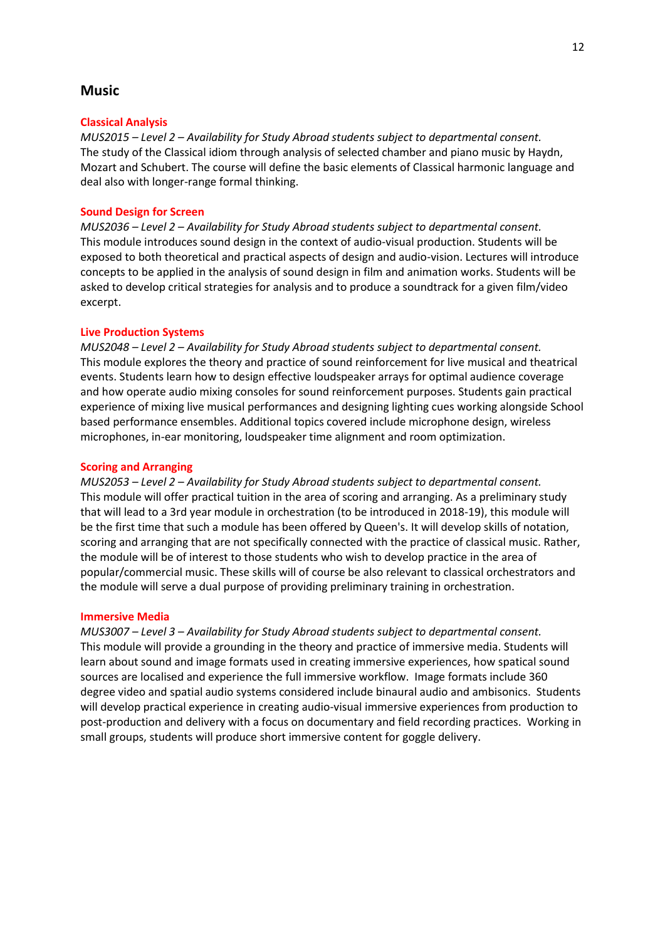# **Music**

## **Classical Analysis**

*MUS2015 – Level 2 – Availability for Study Abroad students subject to departmental consent.* The study of the Classical idiom through analysis of selected chamber and piano music by Haydn, Mozart and Schubert. The course will define the basic elements of Classical harmonic language and deal also with longer-range formal thinking.

## **Sound Design for Screen**

*MUS2036 – Level 2 – Availability for Study Abroad students subject to departmental consent.* This module introduces sound design in the context of audio-visual production. Students will be exposed to both theoretical and practical aspects of design and audio-vision. Lectures will introduce concepts to be applied in the analysis of sound design in film and animation works. Students will be asked to develop critical strategies for analysis and to produce a soundtrack for a given film/video excerpt.

### **Live Production Systems**

*MUS2048 – Level 2 – Availability for Study Abroad students subject to departmental consent.* This module explores the theory and practice of sound reinforcement for live musical and theatrical events. Students learn how to design effective loudspeaker arrays for optimal audience coverage and how operate audio mixing consoles for sound reinforcement purposes. Students gain practical experience of mixing live musical performances and designing lighting cues working alongside School based performance ensembles. Additional topics covered include microphone design, wireless microphones, in-ear monitoring, loudspeaker time alignment and room optimization.

### **Scoring and Arranging**

*MUS2053 – Level 2 – Availability for Study Abroad students subject to departmental consent.* This module will offer practical tuition in the area of scoring and arranging. As a preliminary study that will lead to a 3rd year module in orchestration (to be introduced in 2018-19), this module will be the first time that such a module has been offered by Queen's. It will develop skills of notation, scoring and arranging that are not specifically connected with the practice of classical music. Rather, the module will be of interest to those students who wish to develop practice in the area of popular/commercial music. These skills will of course be also relevant to classical orchestrators and the module will serve a dual purpose of providing preliminary training in orchestration.

## **Immersive Media**

*MUS3007 – Level 3 – Availability for Study Abroad students subject to departmental consent.* This module will provide a grounding in the theory and practice of immersive media. Students will learn about sound and image formats used in creating immersive experiences, how spatical sound sources are localised and experience the full immersive workflow. Image formats include 360 degree video and spatial audio systems considered include binaural audio and ambisonics. Students will develop practical experience in creating audio-visual immersive experiences from production to post-production and delivery with a focus on documentary and field recording practices. Working in small groups, students will produce short immersive content for goggle delivery.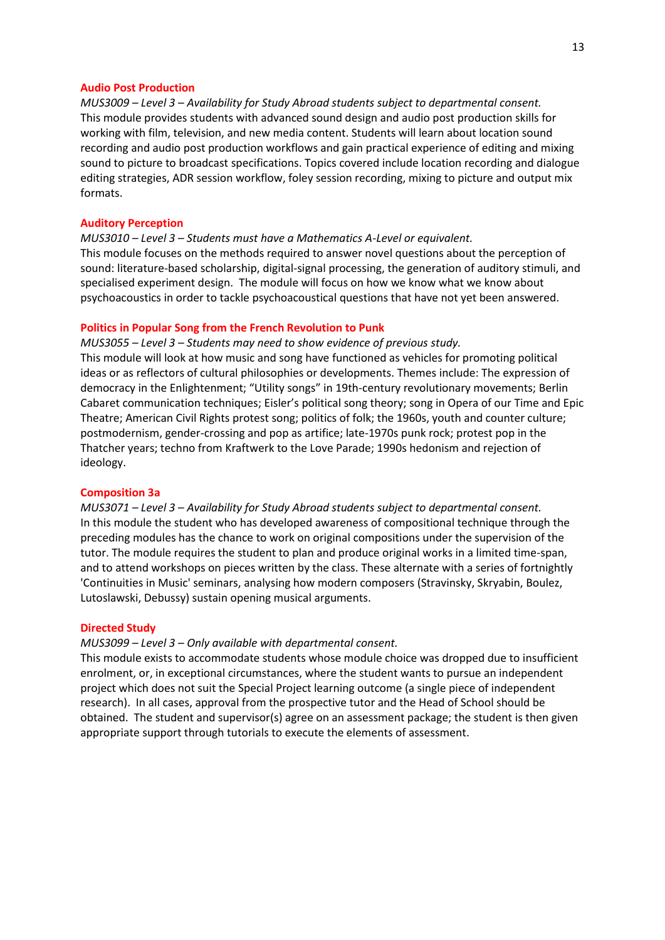### **Audio Post Production**

*MUS3009 – Level 3 – Availability for Study Abroad students subject to departmental consent.* This module provides students with advanced sound design and audio post production skills for working with film, television, and new media content. Students will learn about location sound recording and audio post production workflows and gain practical experience of editing and mixing sound to picture to broadcast specifications. Topics covered include location recording and dialogue editing strategies, ADR session workflow, foley session recording, mixing to picture and output mix formats.

### **Auditory Perception**

*MUS3010 – Level 3 – Students must have a Mathematics A-Level or equivalent.* This module focuses on the methods required to answer novel questions about the perception of sound: literature-based scholarship, digital-signal processing, the generation of auditory stimuli, and specialised experiment design. The module will focus on how we know what we know about psychoacoustics in order to tackle psychoacoustical questions that have not yet been answered.

## **Politics in Popular Song from the French Revolution to Punk**

*MUS3055 – Level 3 – Students may need to show evidence of previous study.*

This module will look at how music and song have functioned as vehicles for promoting political ideas or as reflectors of cultural philosophies or developments. Themes include: The expression of democracy in the Enlightenment; "Utility songs" in 19th-century revolutionary movements; Berlin Cabaret communication techniques; Eisler's political song theory; song in Opera of our Time and Epic Theatre; American Civil Rights protest song; politics of folk; the 1960s, youth and counter culture; postmodernism, gender-crossing and pop as artifice; late-1970s punk rock; protest pop in the Thatcher years; techno from Kraftwerk to the Love Parade; 1990s hedonism and rejection of ideology.

## **Composition 3a**

*MUS3071 – Level 3 – Availability for Study Abroad students subject to departmental consent.* In this module the student who has developed awareness of compositional technique through the preceding modules has the chance to work on original compositions under the supervision of the tutor. The module requires the student to plan and produce original works in a limited time-span, and to attend workshops on pieces written by the class. These alternate with a series of fortnightly 'Continuities in Music' seminars, analysing how modern composers (Stravinsky, Skryabin, Boulez, Lutoslawski, Debussy) sustain opening musical arguments.

### **Directed Study**

## *MUS3099 – Level 3 – Only available with departmental consent.*

This module exists to accommodate students whose module choice was dropped due to insufficient enrolment, or, in exceptional circumstances, where the student wants to pursue an independent project which does not suit the Special Project learning outcome (a single piece of independent research). In all cases, approval from the prospective tutor and the Head of School should be obtained. The student and supervisor(s) agree on an assessment package; the student is then given appropriate support through tutorials to execute the elements of assessment.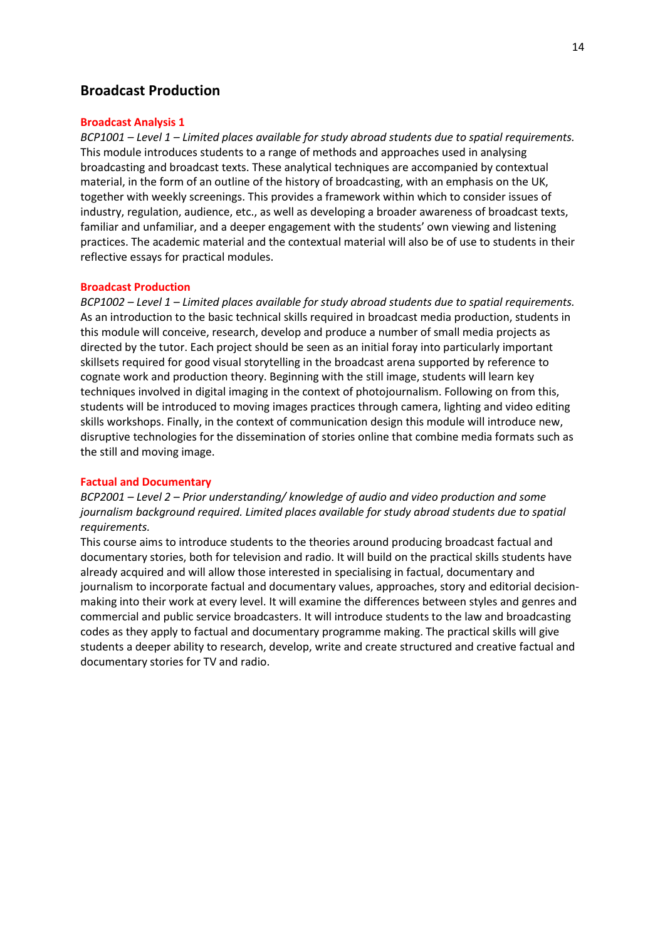# **Broadcast Production**

## **Broadcast Analysis 1**

*BCP1001 – Level 1 – Limited places available for study abroad students due to spatial requirements.* This module introduces students to a range of methods and approaches used in analysing broadcasting and broadcast texts. These analytical techniques are accompanied by contextual material, in the form of an outline of the history of broadcasting, with an emphasis on the UK, together with weekly screenings. This provides a framework within which to consider issues of industry, regulation, audience, etc., as well as developing a broader awareness of broadcast texts, familiar and unfamiliar, and a deeper engagement with the students' own viewing and listening practices. The academic material and the contextual material will also be of use to students in their reflective essays for practical modules.

## **Broadcast Production**

*BCP1002 – Level 1 – Limited places available for study abroad students due to spatial requirements.* As an introduction to the basic technical skills required in broadcast media production, students in this module will conceive, research, develop and produce a number of small media projects as directed by the tutor. Each project should be seen as an initial foray into particularly important skillsets required for good visual storytelling in the broadcast arena supported by reference to cognate work and production theory. Beginning with the still image, students will learn key techniques involved in digital imaging in the context of photojournalism. Following on from this, students will be introduced to moving images practices through camera, lighting and video editing skills workshops. Finally, in the context of communication design this module will introduce new, disruptive technologies for the dissemination of stories online that combine media formats such as the still and moving image.

## **Factual and Documentary**

*BCP2001 – Level 2 – Prior understanding/ knowledge of audio and video production and some journalism background required. Limited places available for study abroad students due to spatial requirements.*

This course aims to introduce students to the theories around producing broadcast factual and documentary stories, both for television and radio. It will build on the practical skills students have already acquired and will allow those interested in specialising in factual, documentary and journalism to incorporate factual and documentary values, approaches, story and editorial decisionmaking into their work at every level. It will examine the differences between styles and genres and commercial and public service broadcasters. It will introduce students to the law and broadcasting codes as they apply to factual and documentary programme making. The practical skills will give students a deeper ability to research, develop, write and create structured and creative factual and documentary stories for TV and radio.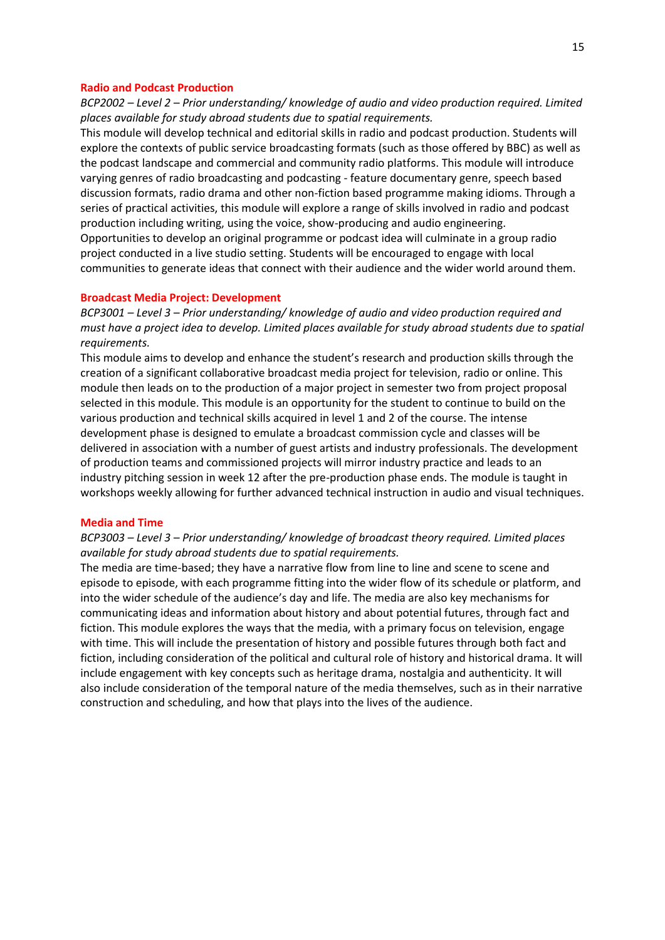## **Radio and Podcast Production**

*BCP2002 – Level 2 – Prior understanding/ knowledge of audio and video production required. Limited places available for study abroad students due to spatial requirements.*

This module will develop technical and editorial skills in radio and podcast production. Students will explore the contexts of public service broadcasting formats (such as those offered by BBC) as well as the podcast landscape and commercial and community radio platforms. This module will introduce varying genres of radio broadcasting and podcasting - feature documentary genre, speech based discussion formats, radio drama and other non-fiction based programme making idioms. Through a series of practical activities, this module will explore a range of skills involved in radio and podcast production including writing, using the voice, show-producing and audio engineering. Opportunities to develop an original programme or podcast idea will culminate in a group radio project conducted in a live studio setting. Students will be encouraged to engage with local communities to generate ideas that connect with their audience and the wider world around them.

## **Broadcast Media Project: Development**

*BCP3001 – Level 3 – Prior understanding/ knowledge of audio and video production required and must have a project idea to develop. Limited places available for study abroad students due to spatial requirements.*

This module aims to develop and enhance the student's research and production skills through the creation of a significant collaborative broadcast media project for television, radio or online. This module then leads on to the production of a major project in semester two from project proposal selected in this module. This module is an opportunity for the student to continue to build on the various production and technical skills acquired in level 1 and 2 of the course. The intense development phase is designed to emulate a broadcast commission cycle and classes will be delivered in association with a number of guest artists and industry professionals. The development of production teams and commissioned projects will mirror industry practice and leads to an industry pitching session in week 12 after the pre-production phase ends. The module is taught in workshops weekly allowing for further advanced technical instruction in audio and visual techniques.

### **Media and Time**

# *BCP3003 – Level 3 – Prior understanding/ knowledge of broadcast theory required. Limited places available for study abroad students due to spatial requirements.*

The media are time-based; they have a narrative flow from line to line and scene to scene and episode to episode, with each programme fitting into the wider flow of its schedule or platform, and into the wider schedule of the audience's day and life. The media are also key mechanisms for communicating ideas and information about history and about potential futures, through fact and fiction. This module explores the ways that the media, with a primary focus on television, engage with time. This will include the presentation of history and possible futures through both fact and fiction, including consideration of the political and cultural role of history and historical drama. It will include engagement with key concepts such as heritage drama, nostalgia and authenticity. It will also include consideration of the temporal nature of the media themselves, such as in their narrative construction and scheduling, and how that plays into the lives of the audience.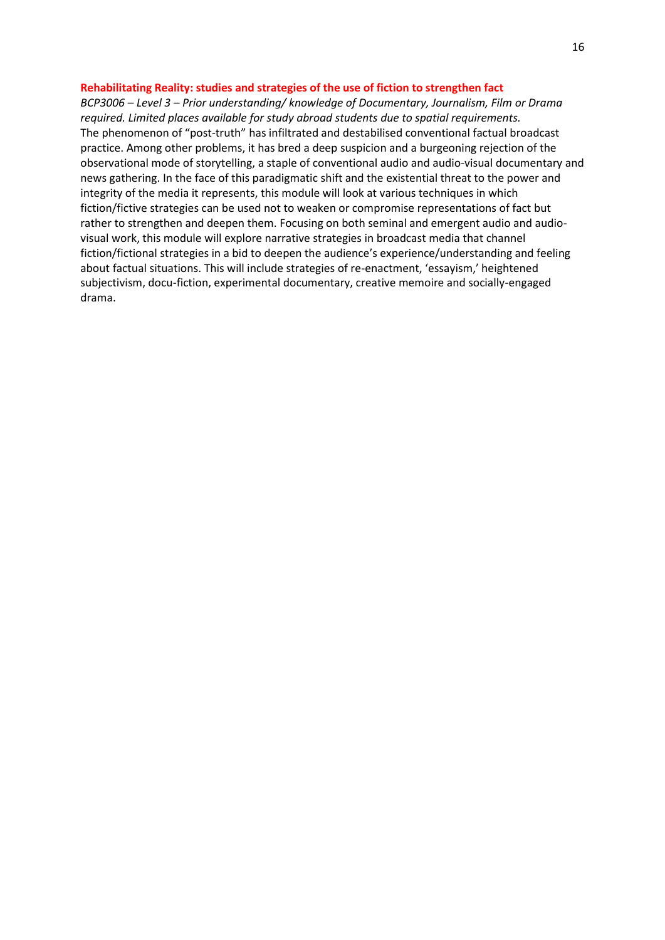## **Rehabilitating Reality: studies and strategies of the use of fiction to strengthen fact**

*BCP3006 – Level 3 – Prior understanding/ knowledge of Documentary, Journalism, Film or Drama required. Limited places available for study abroad students due to spatial requirements.* The phenomenon of "post-truth" has infiltrated and destabilised conventional factual broadcast practice. Among other problems, it has bred a deep suspicion and a burgeoning rejection of the observational mode of storytelling, a staple of conventional audio and audio-visual documentary and news gathering. In the face of this paradigmatic shift and the existential threat to the power and integrity of the media it represents, this module will look at various techniques in which fiction/fictive strategies can be used not to weaken or compromise representations of fact but rather to strengthen and deepen them. Focusing on both seminal and emergent audio and audiovisual work, this module will explore narrative strategies in broadcast media that channel fiction/fictional strategies in a bid to deepen the audience's experience/understanding and feeling about factual situations. This will include strategies of re-enactment, 'essayism,' heightened subjectivism, docu-fiction, experimental documentary, creative memoire and socially-engaged drama.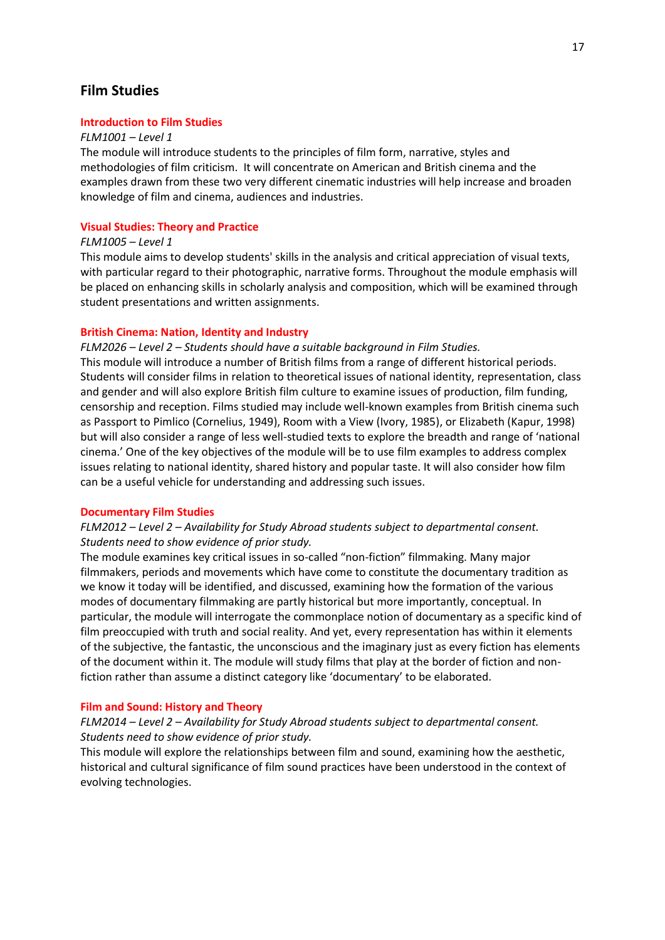# **Film Studies**

## **Introduction to Film Studies**

### *FLM1001 – Level 1*

The module will introduce students to the principles of film form, narrative, styles and methodologies of film criticism. It will concentrate on American and British cinema and the examples drawn from these two very different cinematic industries will help increase and broaden knowledge of film and cinema, audiences and industries.

## **Visual Studies: Theory and Practice**

## *FLM1005 – Level 1*

This module aims to develop students' skills in the analysis and critical appreciation of visual texts, with particular regard to their photographic, narrative forms. Throughout the module emphasis will be placed on enhancing skills in scholarly analysis and composition, which will be examined through student presentations and written assignments.

# **British Cinema: Nation, Identity and Industry**

# *FLM2026 – Level 2 – Students should have a suitable background in Film Studies.*

This module will introduce a number of British films from a range of different historical periods. Students will consider films in relation to theoretical issues of national identity, representation, class and gender and will also explore British film culture to examine issues of production, film funding, censorship and reception. Films studied may include well-known examples from British cinema such as Passport to Pimlico (Cornelius, 1949), Room with a View (Ivory, 1985), or Elizabeth (Kapur, 1998) but will also consider a range of less well-studied texts to explore the breadth and range of 'national cinema.' One of the key objectives of the module will be to use film examples to address complex issues relating to national identity, shared history and popular taste. It will also consider how film can be a useful vehicle for understanding and addressing such issues.

#### **Documentary Film Studies**

# *FLM2012 – Level 2 – Availability for Study Abroad students subject to departmental consent. Students need to show evidence of prior study.*

The module examines key critical issues in so-called "non-fiction" filmmaking. Many major filmmakers, periods and movements which have come to constitute the documentary tradition as we know it today will be identified, and discussed, examining how the formation of the various modes of documentary filmmaking are partly historical but more importantly, conceptual. In particular, the module will interrogate the commonplace notion of documentary as a specific kind of film preoccupied with truth and social reality. And yet, every representation has within it elements of the subjective, the fantastic, the unconscious and the imaginary just as every fiction has elements of the document within it. The module will study films that play at the border of fiction and nonfiction rather than assume a distinct category like 'documentary' to be elaborated.

## **Film and Sound: History and Theory**

# *FLM2014 – Level 2 – Availability for Study Abroad students subject to departmental consent. Students need to show evidence of prior study.*

This module will explore the relationships between film and sound, examining how the aesthetic, historical and cultural significance of film sound practices have been understood in the context of evolving technologies.